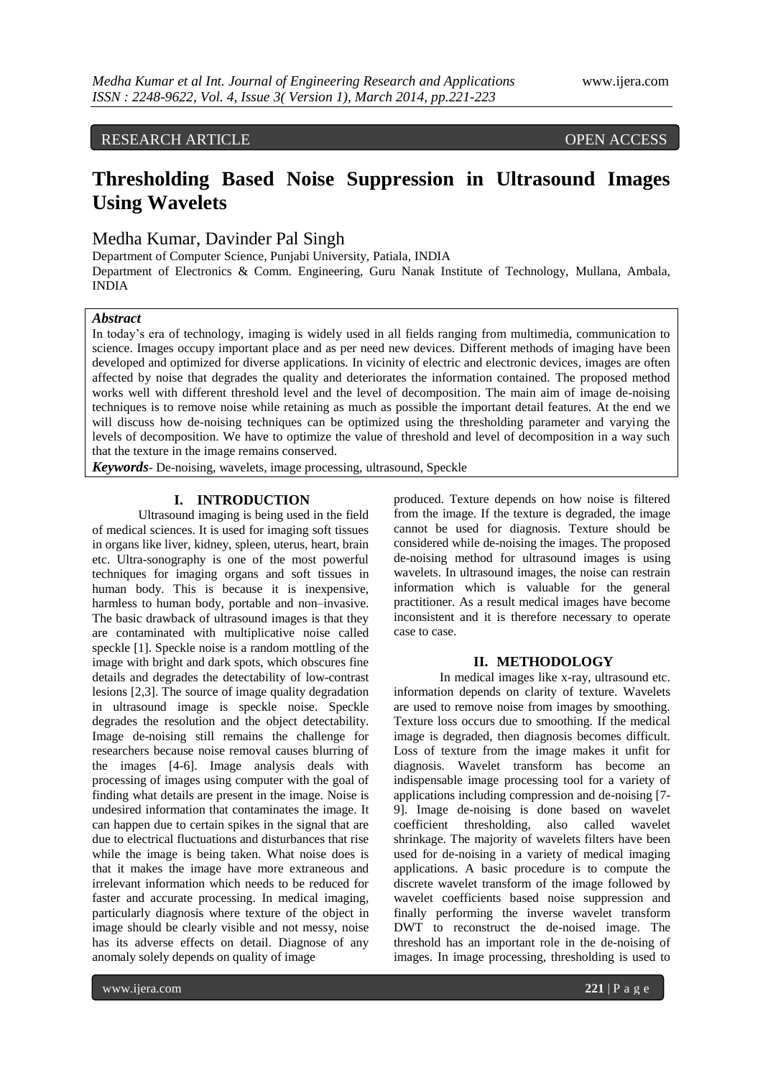# RESEARCH ARTICLE OPEN ACCESS

# **Thresholding Based Noise Suppression in Ultrasound Images Using Wavelets**

# Medha Kumar, Davinder Pal Singh

Department of Computer Science, Punjabi University, Patiala, INDIA Department of Electronics & Comm. Engineering, Guru Nanak Institute of Technology, Mullana, Ambala, INDIA

## *Abstract*

In today's era of technology, imaging is widely used in all fields ranging from multimedia, communication to science. Images occupy important place and as per need new devices. Different methods of imaging have been developed and optimized for diverse applications. In vicinity of electric and electronic devices, images are often affected by noise that degrades the quality and deteriorates the information contained. The proposed method works well with different threshold level and the level of decomposition. The main aim of image de-noising techniques is to remove noise while retaining as much as possible the important detail features. At the end we will discuss how de-noising techniques can be optimized using the thresholding parameter and varying the levels of decomposition. We have to optimize the value of threshold and level of decomposition in a way such that the texture in the image remains conserved.

*Keywords*- De-noising, wavelets, image processing, ultrasound, Speckle

## **I. INTRODUCTION**

Ultrasound imaging is being used in the field of medical sciences. It is used for imaging soft tissues in organs like liver, kidney, spleen, uterus, heart, brain etc. Ultra-sonography is one of the most powerful techniques for imaging organs and soft tissues in human body. This is because it is inexpensive, harmless to human body, portable and non–invasive. The basic drawback of ultrasound images is that they are contaminated with multiplicative noise called speckle [1]. Speckle noise is a random mottling of the image with bright and dark spots, which obscures fine details and degrades the detectability of low-contrast lesions [2,3]. The source of image quality degradation in ultrasound image is speckle noise. Speckle degrades the resolution and the object detectability. Image de-noising still remains the challenge for researchers because noise removal causes blurring of the images [4-6]. Image analysis deals with processing of images using computer with the goal of finding what details are present in the image. Noise is undesired information that contaminates the image. It can happen due to certain spikes in the signal that are due to electrical fluctuations and disturbances that rise while the image is being taken. What noise does is that it makes the image have more extraneous and irrelevant information which needs to be reduced for faster and accurate processing. In medical imaging, particularly diagnosis where texture of the object in image should be clearly visible and not messy, noise has its adverse effects on detail. Diagnose of any anomaly solely depends on quality of image

produced. Texture depends on how noise is filtered from the image. If the texture is degraded, the image cannot be used for diagnosis. Texture should be considered while de-noising the images. The proposed de-noising method for ultrasound images is using wavelets. In ultrasound images, the noise can restrain information which is valuable for the general practitioner. As a result medical images have become inconsistent and it is therefore necessary to operate case to case.

#### **II. METHODOLOGY**

In medical images like x-ray, ultrasound etc. information depends on clarity of texture. Wavelets are used to remove noise from images by smoothing. Texture loss occurs due to smoothing. If the medical image is degraded, then diagnosis becomes difficult. Loss of texture from the image makes it unfit for diagnosis. Wavelet transform has become an indispensable image processing tool for a variety of applications including compression and de-noising [7- 9]. Image de-noising is done based on wavelet coefficient thresholding, also called wavelet shrinkage. The majority of wavelets filters have been used for de-noising in a variety of medical imaging applications. A basic procedure is to compute the discrete wavelet transform of the image followed by wavelet coefficients based noise suppression and finally performing the inverse wavelet transform DWT to reconstruct the de-noised image. The threshold has an important role in the de-noising of images. In image processing, thresholding is used to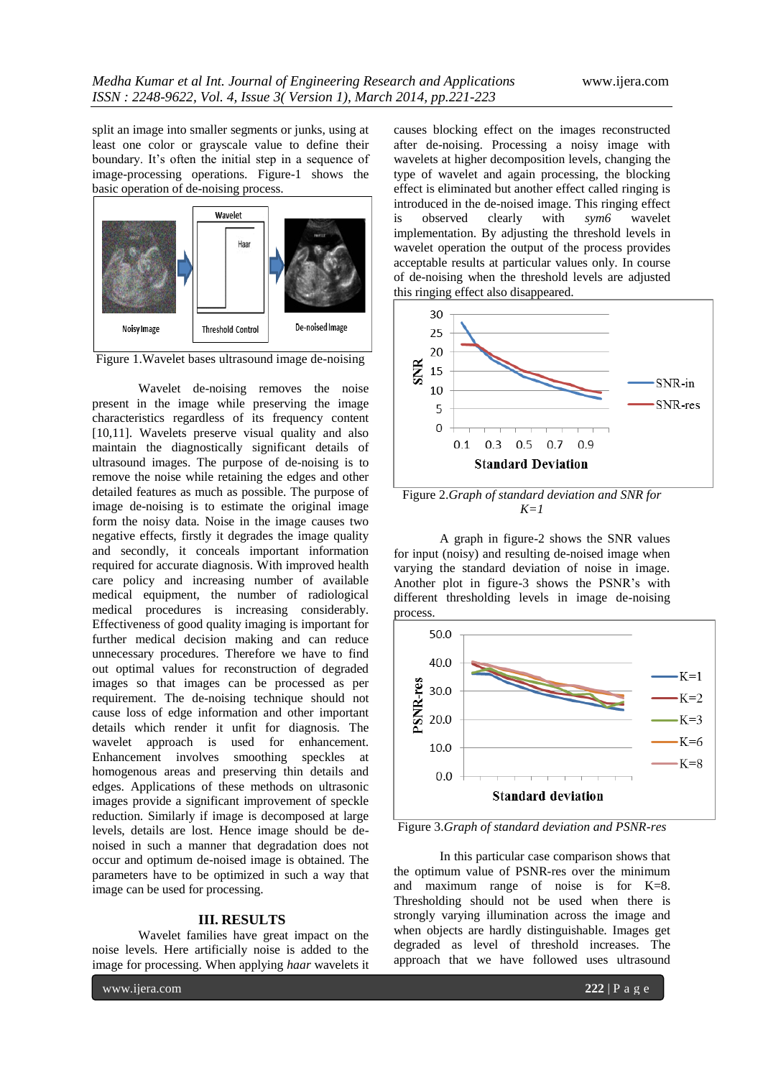split an image into smaller segments or junks, using at least one color or grayscale value to define their boundary. It's often the initial step in a sequence of image-processing operations. Figure-1 shows the basic operation of de-noising process.



Figure 1.Wavelet bases ultrasound image de-noising

Wavelet de-noising removes the noise present in the image while preserving the image characteristics regardless of its frequency content [10,11]. Wavelets preserve visual quality and also maintain the diagnostically significant details of ultrasound images. The purpose of de-noising is to remove the noise while retaining the edges and other detailed features as much as possible. The purpose of image de-noising is to estimate the original image form the noisy data. Noise in the image causes two negative effects, firstly it degrades the image quality and secondly, it conceals important information required for accurate diagnosis. With improved health care policy and increasing number of available medical equipment, the number of radiological medical procedures is increasing considerably. Effectiveness of good quality imaging is important for further medical decision making and can reduce unnecessary procedures. Therefore we have to find out optimal values for reconstruction of degraded images so that images can be processed as per requirement. The de-noising technique should not cause loss of edge information and other important details which render it unfit for diagnosis. The wavelet approach is used for enhancement. Enhancement involves smoothing speckles at homogenous areas and preserving thin details and edges. Applications of these methods on ultrasonic images provide a significant improvement of speckle reduction. Similarly if image is decomposed at large levels, details are lost. Hence image should be denoised in such a manner that degradation does not occur and optimum de-noised image is obtained. The parameters have to be optimized in such a way that image can be used for processing.

### **III. RESULTS**

Wavelet families have great impact on the noise levels. Here artificially noise is added to the image for processing. When applying *haar* wavelets it

causes blocking effect on the images reconstructed after de-noising. Processing a noisy image with wavelets at higher decomposition levels, changing the type of wavelet and again processing, the blocking effect is eliminated but another effect called ringing is introduced in the de-noised image. This ringing effect is observed clearly with *sym6* wavelet implementation. By adjusting the threshold levels in wavelet operation the output of the process provides acceptable results at particular values only. In course of de-noising when the threshold levels are adjusted this ringing effect also disappeared.



Figure 2.*Graph of standard deviation and SNR for K=1*

A graph in figure-2 shows the SNR values for input (noisy) and resulting de-noised image when varying the standard deviation of noise in image. Another plot in figure-3 shows the PSNR's with different thresholding levels in image de-noising process.



Figure 3.*Graph of standard deviation and PSNR-res*

In this particular case comparison shows that the optimum value of PSNR-res over the minimum and maximum range of noise is for K=8. Thresholding should not be used when there is strongly varying illumination across the image and when objects are hardly distinguishable. Images get degraded as level of threshold increases. The approach that we have followed uses ultrasound